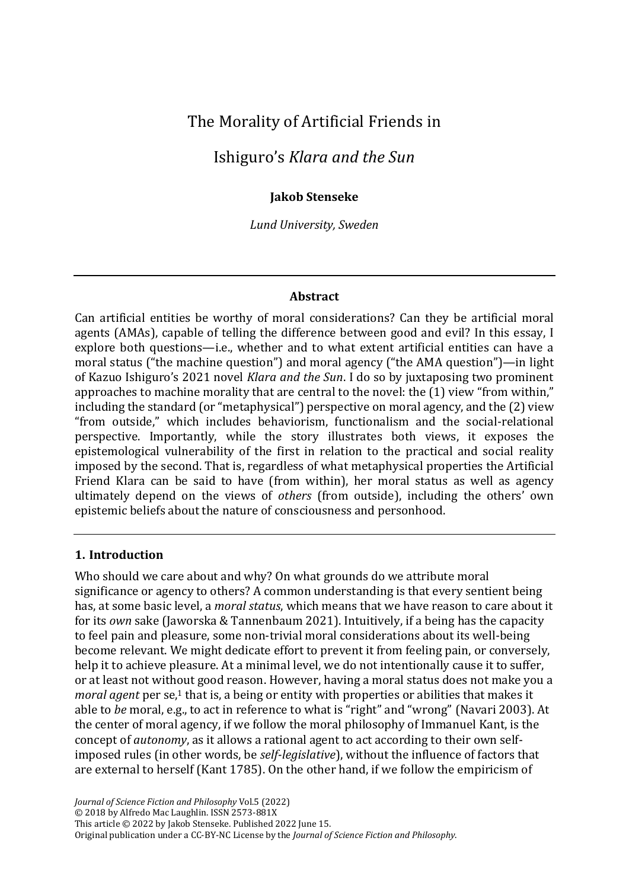# The Morality of Artificial Friends in

# Ishiguro's *Klara and the Sun*

### **Jakob Stenseke**

*Lund University, Sweden*

#### **Abstract**

Can artificial entities be worthy of moral considerations? Can they be artificial moral agents (AMAs), capable of telling the difference between good and evil? In this essay, I explore both questions—i.e., whether and to what extent artificial entities can have a moral status ("the machine question") and moral agency ("the AMA question")—in light of Kazuo Ishiguro's 2021 novel *Klara and the Sun*. I do so by juxtaposing two prominent approaches to machine morality that are central to the novel: the (1) view "from within," including the standard (or "metaphysical") perspective on moral agency, and the (2) view "from outside," which includes behaviorism, functionalism and the social-relational perspective. Importantly, while the story illustrates both views, it exposes the epistemological vulnerability of the first in relation to the practical and social reality imposed by the second. That is, regardless of what metaphysical properties the Artificial Friend Klara can be said to have (from within), her moral status as well as agency ultimately depend on the views of *others* (from outside), including the others' own epistemic beliefs about the nature of consciousness and personhood.

### **1. Introduction**

Who should we care about and why? On what grounds do we attribute moral significance or agency to others? A common understanding is that every sentient being has, at some basic level, a *moral status*, which means that we have reason to care about it for its *own* sake (Jaworska & Tannenbaum 2021). Intuitively, if a being has the capacity to feel pain and pleasure, some non-trivial moral considerations about its well-being become relevant. We might dedicate effort to prevent it from feeling pain, or conversely, help it to achieve pleasure. At a minimal level, we do not intentionally cause it to suffer, or at least not without good reason. However, having a moral status does not make you a moral agent per se,<sup>1</sup> that is, a being or entity with properties or abilities that makes it able to *be* moral, e.g., to act in reference to what is "right" and "wrong" (Navari 2003). At the center of moral agency, if we follow the moral philosophy of Immanuel Kant, is the concept of *autonomy*, as it allows a rational agent to act according to their own selfimposed rules (in other words, be *self-legislative*), without the influence of factors that are external to herself (Kant 1785). On the other hand, if we follow the empiricism of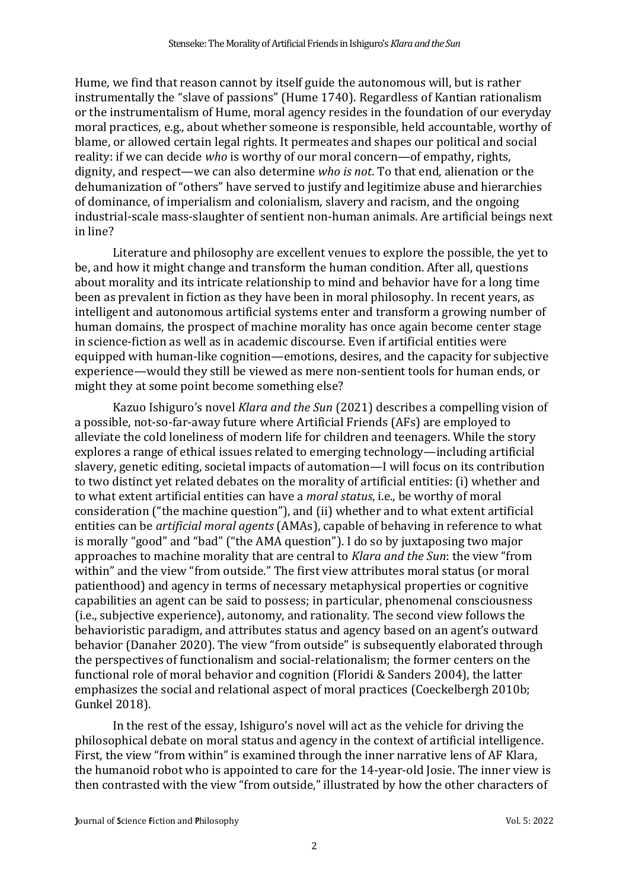Hume, we find that reason cannot by itself guide the autonomous will, but is rather instrumentally the "slave of passions" (Hume 1740). Regardless of Kantian rationalism or the instrumentalism of Hume, moral agency resides in the foundation of our everyday moral practices, e.g., about whether someone is responsible, held accountable, worthy of blame, or allowed certain legal rights. It permeates and shapes our political and social reality: if we can decide *who* is worthy of our moral concern—of empathy, rights, dignity, and respect—we can also determine *who is not*. To that end, alienation or the dehumanization of "others" have served to justify and legitimize abuse and hierarchies of dominance, of imperialism and colonialism, slavery and racism, and the ongoing industrial-scale mass-slaughter of sentient non-human animals. Are artificial beings next in line?

Literature and philosophy are excellent venues to explore the possible, the yet to be, and how it might change and transform the human condition. After all, questions about morality and its intricate relationship to mind and behavior have for a long time been as prevalent in fiction as they have been in moral philosophy. In recent years, as intelligent and autonomous artificial systems enter and transform a growing number of human domains, the prospect of machine morality has once again become center stage in science-fiction as well as in academic discourse. Even if artificial entities were equipped with human-like cognition—emotions, desires, and the capacity for subjective experience—would they still be viewed as mere non-sentient tools for human ends, or might they at some point become something else?

Kazuo Ishiguro's novel *Klara and the Sun* (2021) describes a compelling vision of a possible, not-so-far-away future where Artificial Friends (AFs) are employed to alleviate the cold loneliness of modern life for children and teenagers. While the story explores a range of ethical issues related to emerging technology—including artificial slavery, genetic editing, societal impacts of automation—I will focus on its contribution to two distinct yet related debates on the morality of artificial entities: (i) whether and to what extent artificial entities can have a *moral status*, i.e., be worthy of moral consideration ("the machine question"), and (ii) whether and to what extent artificial entities can be *artificial moral agents* (AMAs), capable of behaving in reference to what is morally "good" and "bad" ("the AMA question"). I do so by juxtaposing two major approaches to machine morality that are central to *Klara and the Sun*: the view "from within" and the view "from outside." The first view attributes moral status (or moral patienthood) and agency in terms of necessary metaphysical properties or cognitive capabilities an agent can be said to possess; in particular, phenomenal consciousness (i.e., subjective experience), autonomy, and rationality. The second view follows the behavioristic paradigm, and attributes status and agency based on an agent's outward behavior (Danaher 2020). The view "from outside" is subsequently elaborated through the perspectives of functionalism and social-relationalism; the former centers on the functional role of moral behavior and cognition (Floridi & Sanders 2004), the latter emphasizes the social and relational aspect of moral practices (Coeckelbergh 2010b; Gunkel 2018).

In the rest of the essay, Ishiguro's novel will act as the vehicle for driving the philosophical debate on moral status and agency in the context of artificial intelligence. First, the view "from within" is examined through the inner narrative lens of AF Klara, the humanoid robot who is appointed to care for the 14-year-old Josie. The inner view is then contrasted with the view "from outside," illustrated by how the other characters of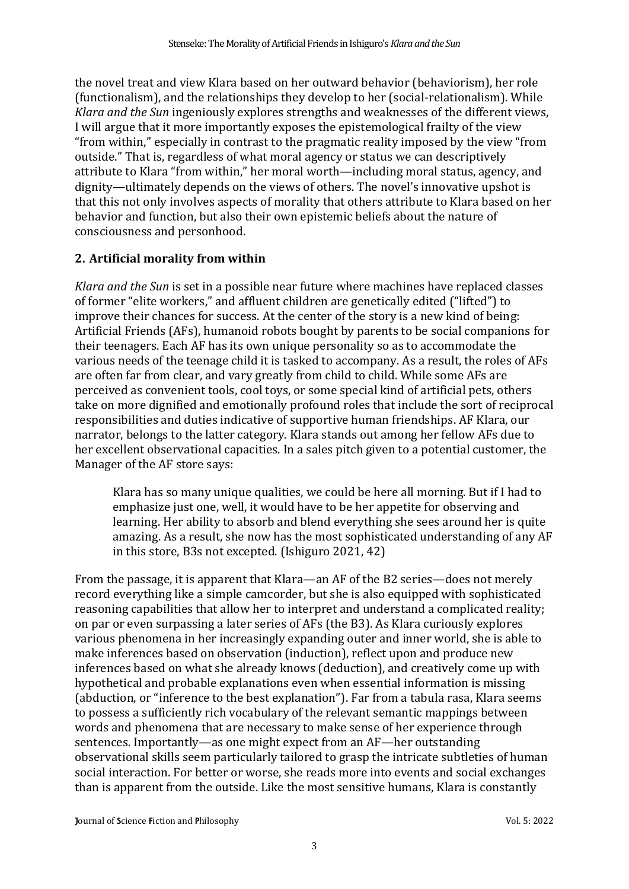the novel treat and view Klara based on her outward behavior (behaviorism), her role (functionalism), and the relationships they develop to her (social-relationalism). While *Klara and the Sun* ingeniously explores strengths and weaknesses of the different views, I will argue that it more importantly exposes the epistemological frailty of the view "from within," especially in contrast to the pragmatic reality imposed by the view "from outside." That is, regardless of what moral agency or status we can descriptively attribute to Klara "from within," her moral worth—including moral status, agency, and dignity—ultimately depends on the views of others. The novel's innovative upshot is that this not only involves aspects of morality that others attribute to Klara based on her behavior and function, but also their own epistemic beliefs about the nature of consciousness and personhood.

# **2. Artificial morality from within**

*Klara and the Sun* is set in a possible near future where machines have replaced classes of former "elite workers," and affluent children are genetically edited ("lifted") to improve their chances for success. At the center of the story is a new kind of being: Artificial Friends (AFs), humanoid robots bought by parents to be social companions for their teenagers. Each AF has its own unique personality so as to accommodate the various needs of the teenage child it is tasked to accompany. As a result, the roles of AFs are often far from clear, and vary greatly from child to child. While some AFs are perceived as convenient tools, cool toys, or some special kind of artificial pets, others take on more dignified and emotionally profound roles that include the sort of reciprocal responsibilities and duties indicative of supportive human friendships. AF Klara, our narrator, belongs to the latter category. Klara stands out among her fellow AFs due to her excellent observational capacities. In a sales pitch given to a potential customer, the Manager of the AF store says:

Klara has so many unique qualities, we could be here all morning. But if I had to emphasize just one, well, it would have to be her appetite for observing and learning. Her ability to absorb and blend everything she sees around her is quite amazing. As a result, she now has the most sophisticated understanding of any AF in this store, B3s not excepted. (Ishiguro 2021, 42)

From the passage, it is apparent that Klara—an AF of the B2 series—does not merely record everything like a simple camcorder, but she is also equipped with sophisticated reasoning capabilities that allow her to interpret and understand a complicated reality; on par or even surpassing a later series of AFs (the B3). As Klara curiously explores various phenomena in her increasingly expanding outer and inner world, she is able to make inferences based on observation (induction), reflect upon and produce new inferences based on what she already knows (deduction), and creatively come up with hypothetical and probable explanations even when essential information is missing (abduction, or "inference to the best explanation"). Far from a tabula rasa, Klara seems to possess a sufficiently rich vocabulary of the relevant semantic mappings between words and phenomena that are necessary to make sense of her experience through sentences. Importantly—as one might expect from an AF—her outstanding observational skills seem particularly tailored to grasp the intricate subtleties of human social interaction. For better or worse, she reads more into events and social exchanges than is apparent from the outside. Like the most sensitive humans, Klara is constantly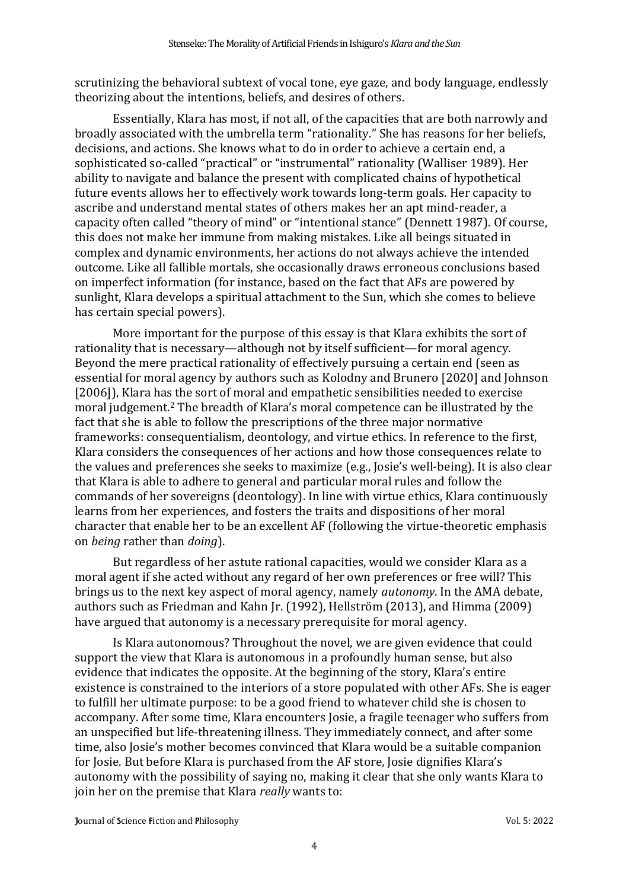scrutinizing the behavioral subtext of vocal tone, eye gaze, and body language, endlessly theorizing about the intentions, beliefs, and desires of others.

Essentially, Klara has most, if not all, of the capacities that are both narrowly and broadly associated with the umbrella term "rationality." She has reasons for her beliefs, decisions, and actions. She knows what to do in order to achieve a certain end, a sophisticated so-called "practical" or "instrumental" rationality (Walliser 1989). Her ability to navigate and balance the present with complicated chains of hypothetical future events allows her to effectively work towards long-term goals. Her capacity to ascribe and understand mental states of others makes her an apt mind-reader, a capacity often called "theory of mind" or "intentional stance" (Dennett 1987). Of course, this does not make her immune from making mistakes. Like all beings situated in complex and dynamic environments, her actions do not always achieve the intended outcome. Like all fallible mortals, she occasionally draws erroneous conclusions based on imperfect information (for instance, based on the fact that AFs are powered by sunlight, Klara develops a spiritual attachment to the Sun, which she comes to believe has certain special powers).

More important for the purpose of this essay is that Klara exhibits the sort of rationality that is necessary—although not by itself sufficient—for moral agency. Beyond the mere practical rationality of effectively pursuing a certain end (seen as essential for moral agency by authors such as Kolodny and Brunero [2020] and Johnson [2006]), Klara has the sort of moral and empathetic sensibilities needed to exercise moral judgement. <sup>2</sup> The breadth of Klara's moral competence can be illustrated by the fact that she is able to follow the prescriptions of the three major normative frameworks: consequentialism, deontology, and virtue ethics. In reference to the first, Klara considers the consequences of her actions and how those consequences relate to the values and preferences she seeks to maximize (e.g., Josie's well-being). It is also clear that Klara is able to adhere to general and particular moral rules and follow the commands of her sovereigns (deontology). In line with virtue ethics, Klara continuously learns from her experiences, and fosters the traits and dispositions of her moral character that enable her to be an excellent AF (following the virtue-theoretic emphasis on *being* rather than *doing*).

But regardless of her astute rational capacities, would we consider Klara as a moral agent if she acted without any regard of her own preferences or free will? This brings us to the next key aspect of moral agency, namely *autonomy*. In the AMA debate, authors such as Friedman and Kahn Jr. (1992), Hellström (2013), and Himma (2009) have argued that autonomy is a necessary prerequisite for moral agency.

Is Klara autonomous? Throughout the novel, we are given evidence that could support the view that Klara is autonomous in a profoundly human sense, but also evidence that indicates the opposite. At the beginning of the story, Klara's entire existence is constrained to the interiors of a store populated with other AFs. She is eager to fulfill her ultimate purpose: to be a good friend to whatever child she is chosen to accompany. After some time, Klara encounters Josie, a fragile teenager who suffers from an unspecified but life-threatening illness. They immediately connect, and after some time, also Josie's mother becomes convinced that Klara would be a suitable companion for Josie. But before Klara is purchased from the AF store, Josie dignifies Klara's autonomy with the possibility of saying no, making it clear that she only wants Klara to join her on the premise that Klara *really* wants to: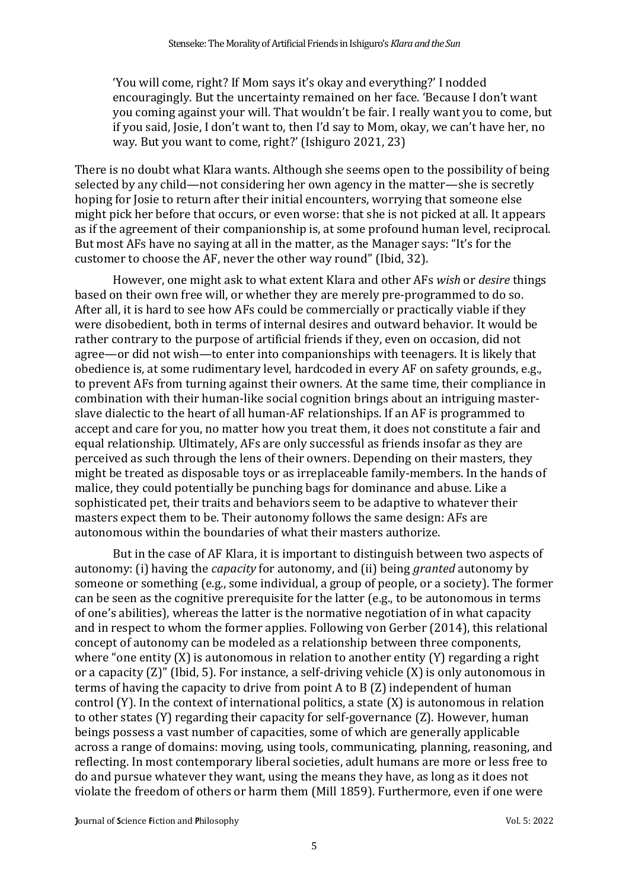'You will come, right? If Mom says it's okay and everything?' I nodded encouragingly. But the uncertainty remained on her face. 'Because I don't want you coming against your will. That wouldn't be fair. I really want you to come, but if you said, Josie, I don't want to, then I'd say to Mom, okay, we can't have her, no way. But you want to come, right?' (Ishiguro 2021, 23)

There is no doubt what Klara wants. Although she seems open to the possibility of being selected by any child—not considering her own agency in the matter—she is secretly hoping for Josie to return after their initial encounters, worrying that someone else might pick her before that occurs, or even worse: that she is not picked at all. It appears as if the agreement of their companionship is, at some profound human level, reciprocal. But most AFs have no saying at all in the matter, as the Manager says: "It's for the customer to choose the AF, never the other way round" (Ibid, 32).

However, one might ask to what extent Klara and other AFs *wish* or *desire* things based on their own free will, or whether they are merely pre-programmed to do so. After all, it is hard to see how AFs could be commercially or practically viable if they were disobedient, both in terms of internal desires and outward behavior. It would be rather contrary to the purpose of artificial friends if they, even on occasion, did not agree—or did not wish—to enter into companionships with teenagers. It is likely that obedience is, at some rudimentary level, hardcoded in every AF on safety grounds, e.g., to prevent AFs from turning against their owners. At the same time, their compliance in combination with their human-like social cognition brings about an intriguing masterslave dialectic to the heart of all human-AF relationships. If an AF is programmed to accept and care for you, no matter how you treat them, it does not constitute a fair and equal relationship. Ultimately, AFs are only successful as friends insofar as they are perceived as such through the lens of their owners. Depending on their masters, they might be treated as disposable toys or as irreplaceable family-members. In the hands of malice, they could potentially be punching bags for dominance and abuse. Like a sophisticated pet, their traits and behaviors seem to be adaptive to whatever their masters expect them to be. Their autonomy follows the same design: AFs are autonomous within the boundaries of what their masters authorize.

But in the case of AF Klara, it is important to distinguish between two aspects of autonomy: (i) having the *capacity* for autonomy, and (ii) being *granted* autonomy by someone or something (e.g., some individual, a group of people, or a society). The former can be seen as the cognitive prerequisite for the latter (e.g., to be autonomous in terms of one's abilities), whereas the latter is the normative negotiation of in what capacity and in respect to whom the former applies. Following von Gerber (2014), this relational concept of autonomy can be modeled as a relationship between three components, where "one entity (X) is autonomous in relation to another entity (Y) regarding a right or a capacity (Z)" (Ibid, 5). For instance, a self-driving vehicle (X) is only autonomous in terms of having the capacity to drive from point A to B (Z) independent of human control (Y). In the context of international politics, a state (X) is autonomous in relation to other states (Y) regarding their capacity for self-governance (Z). However, human beings possess a vast number of capacities, some of which are generally applicable across a range of domains: moving, using tools, communicating, planning, reasoning, and reflecting. In most contemporary liberal societies, adult humans are more or less free to do and pursue whatever they want, using the means they have, as long as it does not violate the freedom of others or harm them (Mill 1859). Furthermore, even if one were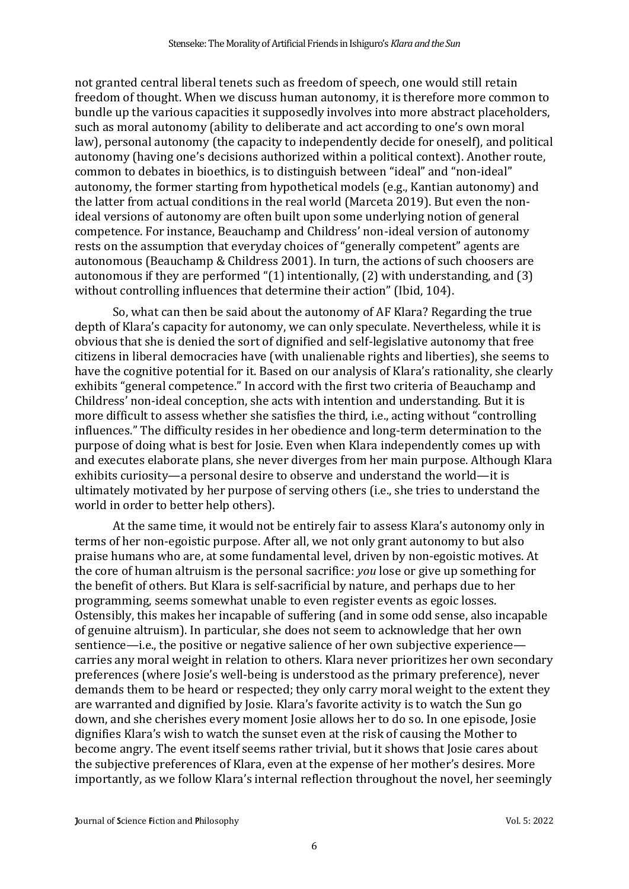not granted central liberal tenets such as freedom of speech, one would still retain freedom of thought. When we discuss human autonomy, it is therefore more common to bundle up the various capacities it supposedly involves into more abstract placeholders, such as moral autonomy (ability to deliberate and act according to one's own moral law), personal autonomy (the capacity to independently decide for oneself), and political autonomy (having one's decisions authorized within a political context). Another route, common to debates in bioethics, is to distinguish between "ideal" and "non-ideal" autonomy, the former starting from hypothetical models (e.g., Kantian autonomy) and the latter from actual conditions in the real world (Marceta 2019). But even the nonideal versions of autonomy are often built upon some underlying notion of general competence. For instance, Beauchamp and Childress' non-ideal version of autonomy rests on the assumption that everyday choices of "generally competent" agents are autonomous (Beauchamp & Childress 2001). In turn, the actions of such choosers are autonomous if they are performed "(1) intentionally, (2) with understanding, and (3) without controlling influences that determine their action" (Ibid, 104).

So, what can then be said about the autonomy of AF Klara? Regarding the true depth of Klara's capacity for autonomy, we can only speculate. Nevertheless, while it is obvious that she is denied the sort of dignified and self-legislative autonomy that free citizens in liberal democracies have (with unalienable rights and liberties), she seems to have the cognitive potential for it. Based on our analysis of Klara's rationality, she clearly exhibits "general competence." In accord with the first two criteria of Beauchamp and Childress' non-ideal conception, she acts with intention and understanding. But it is more difficult to assess whether she satisfies the third, i.e., acting without "controlling influences." The difficulty resides in her obedience and long-term determination to the purpose of doing what is best for Josie. Even when Klara independently comes up with and executes elaborate plans, she never diverges from her main purpose. Although Klara exhibits curiosity—a personal desire to observe and understand the world—it is ultimately motivated by her purpose of serving others (i.e., she tries to understand the world in order to better help others).

At the same time, it would not be entirely fair to assess Klara's autonomy only in terms of her non-egoistic purpose. After all, we not only grant autonomy to but also praise humans who are, at some fundamental level, driven by non-egoistic motives. At the core of human altruism is the personal sacrifice: *you* lose or give up something for the benefit of others. But Klara is self-sacrificial by nature, and perhaps due to her programming, seems somewhat unable to even register events as egoic losses. Ostensibly, this makes her incapable of suffering (and in some odd sense, also incapable of genuine altruism). In particular, she does not seem to acknowledge that her own sentience—i.e., the positive or negative salience of her own subjective experience carries any moral weight in relation to others. Klara never prioritizes her own secondary preferences (where Josie's well-being is understood as the primary preference), never demands them to be heard or respected; they only carry moral weight to the extent they are warranted and dignified by Josie. Klara's favorite activity is to watch the Sun go down, and she cherishes every moment Josie allows her to do so. In one episode, Josie dignifies Klara's wish to watch the sunset even at the risk of causing the Mother to become angry. The event itself seems rather trivial, but it shows that Josie cares about the subjective preferences of Klara, even at the expense of her mother's desires. More importantly, as we follow Klara's internal reflection throughout the novel, her seemingly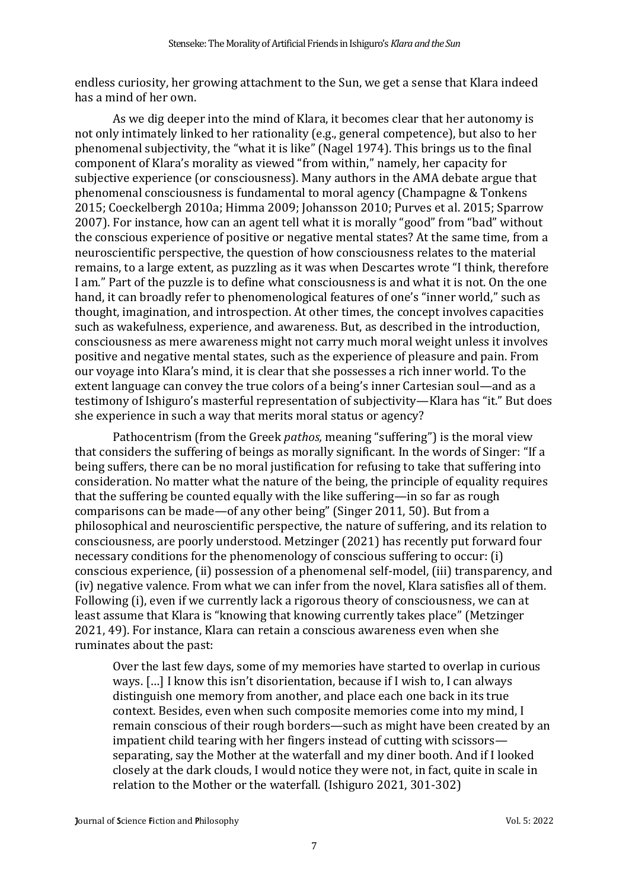endless curiosity, her growing attachment to the Sun, we get a sense that Klara indeed has a mind of her own.

As we dig deeper into the mind of Klara, it becomes clear that her autonomy is not only intimately linked to her rationality (e.g., general competence), but also to her phenomenal subjectivity, the "what it is like" (Nagel 1974). This brings us to the final component of Klara's morality as viewed "from within," namely, her capacity for subjective experience (or consciousness). Many authors in the AMA debate argue that phenomenal consciousness is fundamental to moral agency (Champagne & Tonkens 2015; Coeckelbergh 2010a; Himma 2009; Johansson 2010; Purves et al. 2015; Sparrow 2007). For instance, how can an agent tell what it is morally "good" from "bad" without the conscious experience of positive or negative mental states? At the same time, from a neuroscientific perspective, the question of how consciousness relates to the material remains, to a large extent, as puzzling as it was when Descartes wrote "I think, therefore I am." Part of the puzzle is to define what consciousness is and what it is not. On the one hand, it can broadly refer to phenomenological features of one's "inner world," such as thought, imagination, and introspection. At other times, the concept involves capacities such as wakefulness, experience, and awareness. But, as described in the introduction, consciousness as mere awareness might not carry much moral weight unless it involves positive and negative mental states, such as the experience of pleasure and pain. From our voyage into Klara's mind, it is clear that she possesses a rich inner world. To the extent language can convey the true colors of a being's inner Cartesian soul—and as a testimony of Ishiguro's masterful representation of subjectivity—Klara has "it." But does she experience in such a way that merits moral status or agency?

Pathocentrism (from the Greek *pathos,* meaning "suffering") is the moral view that considers the suffering of beings as morally significant. In the words of Singer: "If a being suffers, there can be no moral justification for refusing to take that suffering into consideration. No matter what the nature of the being, the principle of equality requires that the suffering be counted equally with the like suffering—in so far as rough comparisons can be made—of any other being" (Singer 2011, 50). But from a philosophical and neuroscientific perspective, the nature of suffering, and its relation to consciousness, are poorly understood. Metzinger (2021) has recently put forward four necessary conditions for the phenomenology of conscious suffering to occur: (i) conscious experience, (ii) possession of a phenomenal self-model, (iii) transparency, and (iv) negative valence. From what we can infer from the novel, Klara satisfies all of them. Following (i), even if we currently lack a rigorous theory of consciousness, we can at least assume that Klara is "knowing that knowing currently takes place" (Metzinger 2021, 49). For instance, Klara can retain a conscious awareness even when she ruminates about the past:

Over the last few days, some of my memories have started to overlap in curious ways. […] I know this isn't disorientation, because if I wish to, I can always distinguish one memory from another, and place each one back in its true context. Besides, even when such composite memories come into my mind, I remain conscious of their rough borders—such as might have been created by an impatient child tearing with her fingers instead of cutting with scissors separating, say the Mother at the waterfall and my diner booth. And if I looked closely at the dark clouds, I would notice they were not, in fact, quite in scale in relation to the Mother or the waterfall. (Ishiguro 2021, 301-302)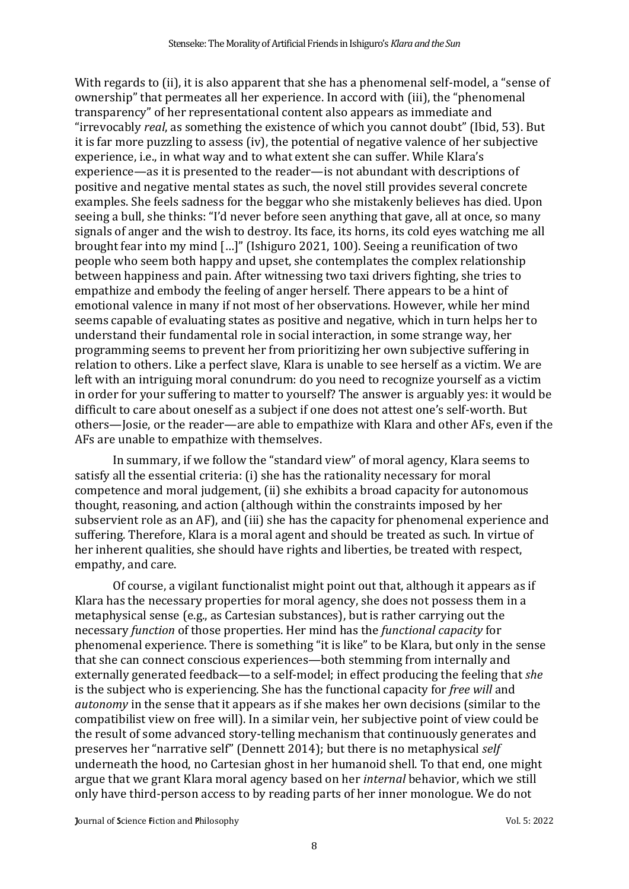With regards to (ii), it is also apparent that she has a phenomenal self-model, a "sense of ownership" that permeates all her experience. In accord with (iii), the "phenomenal transparency" of her representational content also appears as immediate and "irrevocably *real*, as something the existence of which you cannot doubt" (Ibid, 53). But it is far more puzzling to assess (iv), the potential of negative valence of her subjective experience, i.e., in what way and to what extent she can suffer. While Klara's experience—as it is presented to the reader—is not abundant with descriptions of positive and negative mental states as such, the novel still provides several concrete examples. She feels sadness for the beggar who she mistakenly believes has died. Upon seeing a bull, she thinks: "I'd never before seen anything that gave, all at once, so many signals of anger and the wish to destroy. Its face, its horns, its cold eyes watching me all brought fear into my mind […]" (Ishiguro 2021, 100). Seeing a reunification of two people who seem both happy and upset, she contemplates the complex relationship between happiness and pain. After witnessing two taxi drivers fighting, she tries to empathize and embody the feeling of anger herself. There appears to be a hint of emotional valence in many if not most of her observations. However, while her mind seems capable of evaluating states as positive and negative, which in turn helps her to understand their fundamental role in social interaction, in some strange way, her programming seems to prevent her from prioritizing her own subjective suffering in relation to others. Like a perfect slave, Klara is unable to see herself as a victim. We are left with an intriguing moral conundrum: do you need to recognize yourself as a victim in order for your suffering to matter to yourself? The answer is arguably yes: it would be difficult to care about oneself as a subject if one does not attest one's self-worth. But others—Josie, or the reader—are able to empathize with Klara and other AFs, even if the AFs are unable to empathize with themselves.

In summary, if we follow the "standard view" of moral agency, Klara seems to satisfy all the essential criteria: (i) she has the rationality necessary for moral competence and moral judgement, (ii) she exhibits a broad capacity for autonomous thought, reasoning, and action (although within the constraints imposed by her subservient role as an AF), and (iii) she has the capacity for phenomenal experience and suffering. Therefore, Klara is a moral agent and should be treated as such. In virtue of her inherent qualities, she should have rights and liberties, be treated with respect, empathy, and care.

Of course, a vigilant functionalist might point out that, although it appears as if Klara has the necessary properties for moral agency, she does not possess them in a metaphysical sense (e.g., as Cartesian substances), but is rather carrying out the necessary *function* of those properties. Her mind has the *functional capacity* for phenomenal experience. There is something "it is like" to be Klara, but only in the sense that she can connect conscious experiences—both stemming from internally and externally generated feedback—to a self-model; in effect producing the feeling that *she* is the subject who is experiencing. She has the functional capacity for *free will* and *autonomy* in the sense that it appears as if she makes her own decisions (similar to the compatibilist view on free will). In a similar vein, her subjective point of view could be the result of some advanced story-telling mechanism that continuously generates and preserves her "narrative self" (Dennett 2014); but there is no metaphysical *self*  underneath the hood, no Cartesian ghost in her humanoid shell. To that end, one might argue that we grant Klara moral agency based on her *internal* behavior, which we still only have third-person access to by reading parts of her inner monologue. We do not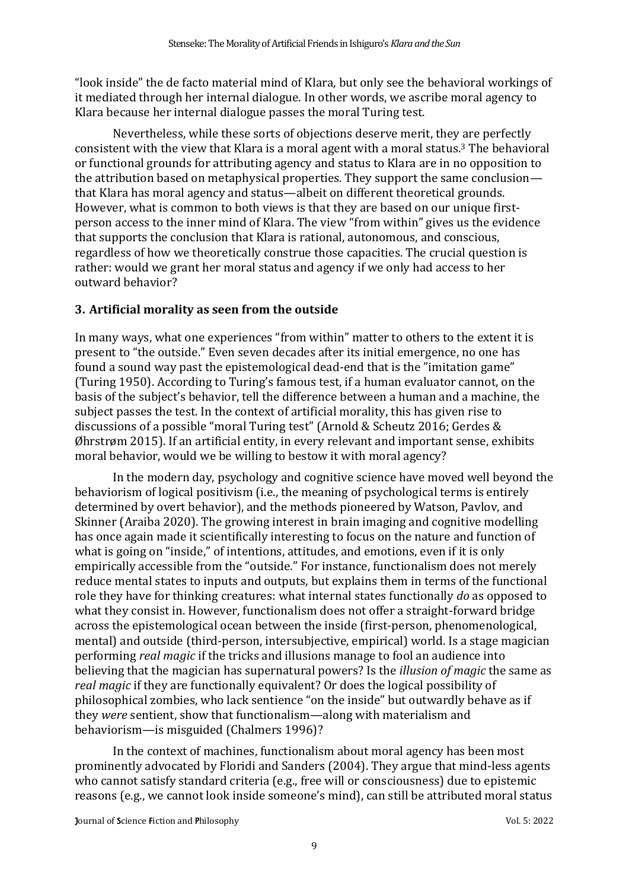"look inside" the de facto material mind of Klara, but only see the behavioral workings of it mediated through her internal dialogue. In other words, we ascribe moral agency to Klara because her internal dialogue passes the moral Turing test.

Nevertheless, while these sorts of objections deserve merit, they are perfectly consistent with the view that Klara is a moral agent with a moral status. <sup>3</sup> The behavioral or functional grounds for attributing agency and status to Klara are in no opposition to the attribution based on metaphysical properties. They support the same conclusion that Klara has moral agency and status—albeit on different theoretical grounds. However, what is common to both views is that they are based on our unique firstperson access to the inner mind of Klara. The view "from within" gives us the evidence that supports the conclusion that Klara is rational, autonomous, and conscious, regardless of how we theoretically construe those capacities. The crucial question is rather: would we grant her moral status and agency if we only had access to her outward behavior?

## **3. Artificial morality as seen from the outside**

In many ways, what one experiences "from within" matter to others to the extent it is present to "the outside." Even seven decades after its initial emergence, no one has found a sound way past the epistemological dead-end that is the "imitation game" (Turing 1950). According to Turing's famous test, if a human evaluator cannot, on the basis of the subject's behavior, tell the difference between a human and a machine, the subject passes the test. In the context of artificial morality, this has given rise to discussions of a possible "moral Turing test" (Arnold & Scheutz 2016; Gerdes & Øhrstrøm 2015). If an artificial entity, in every relevant and important sense, exhibits moral behavior, would we be willing to bestow it with moral agency?

In the modern day, psychology and cognitive science have moved well beyond the behaviorism of logical positivism (i.e., the meaning of psychological terms is entirely determined by overt behavior), and the methods pioneered by Watson, Pavlov, and Skinner (Araiba 2020). The growing interest in brain imaging and cognitive modelling has once again made it scientifically interesting to focus on the nature and function of what is going on "inside," of intentions, attitudes, and emotions, even if it is only empirically accessible from the "outside." For instance, functionalism does not merely reduce mental states to inputs and outputs, but explains them in terms of the functional role they have for thinking creatures: what internal states functionally *do* as opposed to what they consist in. However, functionalism does not offer a straight-forward bridge across the epistemological ocean between the inside (first-person, phenomenological, mental) and outside (third-person, intersubjective, empirical) world. Is a stage magician performing *real magic* if the tricks and illusions manage to fool an audience into believing that the magician has supernatural powers? Is the *illusion of magic* the same as *real magic* if they are functionally equivalent? Or does the logical possibility of philosophical zombies, who lack sentience "on the inside" but outwardly behave as if they *were* sentient, show that functionalism—along with materialism and behaviorism—is misguided (Chalmers 1996)?

In the context of machines, functionalism about moral agency has been most prominently advocated by Floridi and Sanders (2004). They argue that mind-less agents who cannot satisfy standard criteria (e.g., free will or consciousness) due to epistemic reasons (e.g., we cannot look inside someone's mind), can still be attributed moral status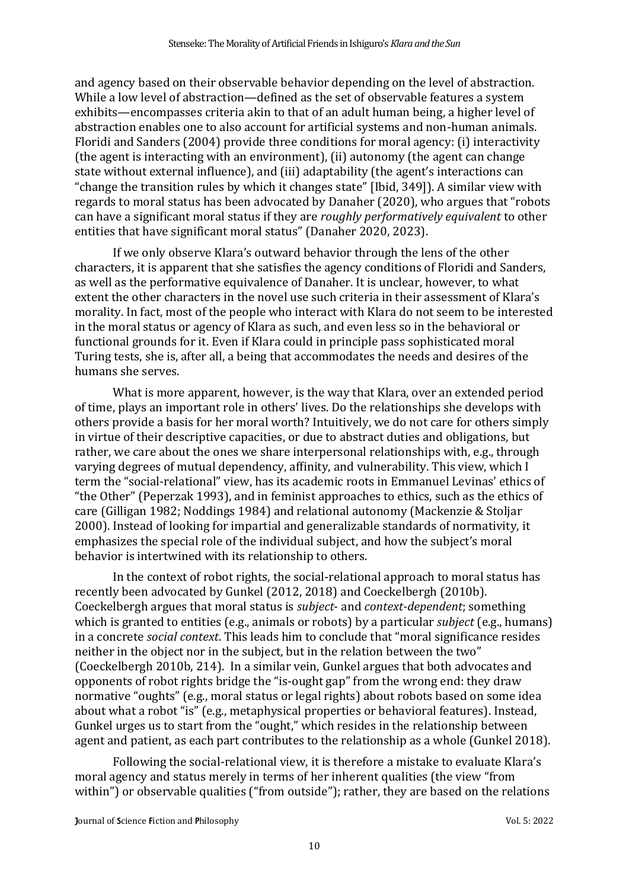and agency based on their observable behavior depending on the level of abstraction. While a low level of abstraction—defined as the set of observable features a system exhibits—encompasses criteria akin to that of an adult human being, a higher level of abstraction enables one to also account for artificial systems and non-human animals. Floridi and Sanders (2004) provide three conditions for moral agency: (i) interactivity (the agent is interacting with an environment), (ii) autonomy (the agent can change state without external influence), and (iii) adaptability (the agent's interactions can "change the transition rules by which it changes state" [Ibid, 349]). A similar view with regards to moral status has been advocated by Danaher (2020), who argues that "robots can have a significant moral status if they are *roughly performatively equivalent* to other entities that have significant moral status" (Danaher 2020, 2023).

If we only observe Klara's outward behavior through the lens of the other characters, it is apparent that she satisfies the agency conditions of Floridi and Sanders, as well as the performative equivalence of Danaher. It is unclear, however, to what extent the other characters in the novel use such criteria in their assessment of Klara's morality. In fact, most of the people who interact with Klara do not seem to be interested in the moral status or agency of Klara as such, and even less so in the behavioral or functional grounds for it. Even if Klara could in principle pass sophisticated moral Turing tests, she is, after all, a being that accommodates the needs and desires of the humans she serves.

What is more apparent, however, is the way that Klara, over an extended period of time, plays an important role in others' lives. Do the relationships she develops with others provide a basis for her moral worth? Intuitively, we do not care for others simply in virtue of their descriptive capacities, or due to abstract duties and obligations, but rather, we care about the ones we share interpersonal relationships with, e.g., through varying degrees of mutual dependency, affinity, and vulnerability. This view, which I term the "social-relational" view, has its academic roots in Emmanuel Levinas' ethics of "the Other" (Peperzak 1993), and in feminist approaches to ethics, such as the ethics of care (Gilligan 1982; Noddings 1984) and relational autonomy (Mackenzie & Stoljar 2000). Instead of looking for impartial and generalizable standards of normativity, it emphasizes the special role of the individual subject, and how the subject's moral behavior is intertwined with its relationship to others.

In the context of robot rights, the social-relational approach to moral status has recently been advocated by Gunkel (2012, 2018) and Coeckelbergh (2010b). Coeckelbergh argues that moral status is *subject*- and *context-dependent*; something which is granted to entities (e.g., animals or robots) by a particular *subject* (e.g., humans) in a concrete *social context*. This leads him to conclude that "moral significance resides neither in the object nor in the subject, but in the relation between the two" (Coeckelbergh 2010b, 214). In a similar vein, Gunkel argues that both advocates and opponents of robot rights bridge the "is-ought gap" from the wrong end: they draw normative "oughts" (e.g., moral status or legal rights) about robots based on some idea about what a robot "is" (e.g., metaphysical properties or behavioral features). Instead, Gunkel urges us to start from the "ought," which resides in the relationship between agent and patient, as each part contributes to the relationship as a whole (Gunkel 2018).

Following the social-relational view, it is therefore a mistake to evaluate Klara's moral agency and status merely in terms of her inherent qualities (the view "from within") or observable qualities ("from outside"); rather, they are based on the relations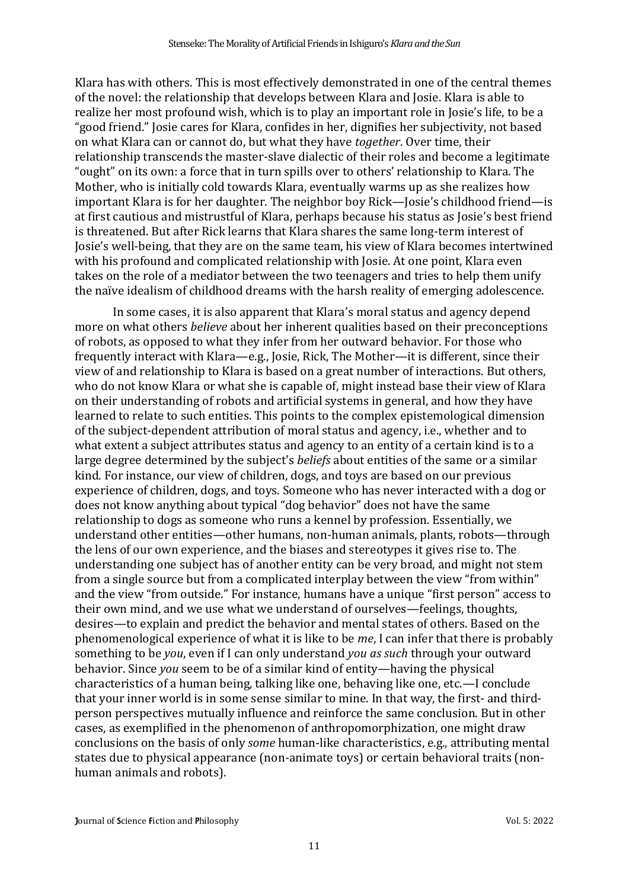Klara has with others. This is most effectively demonstrated in one of the central themes of the novel: the relationship that develops between Klara and Josie. Klara is able to realize her most profound wish, which is to play an important role in Josie's life, to be a "good friend." Josie cares for Klara, confides in her, dignifies her subjectivity, not based on what Klara can or cannot do, but what they have *together*. Over time, their relationship transcends the master-slave dialectic of their roles and become a legitimate "ought" on its own: a force that in turn spills over to others' relationship to Klara. The Mother, who is initially cold towards Klara, eventually warms up as she realizes how important Klara is for her daughter. The neighbor boy Rick—Josie's childhood friend—is at first cautious and mistrustful of Klara, perhaps because his status as Josie's best friend is threatened. But after Rick learns that Klara shares the same long-term interest of Josie's well-being, that they are on the same team, his view of Klara becomes intertwined with his profound and complicated relationship with Josie. At one point, Klara even takes on the role of a mediator between the two teenagers and tries to help them unify the naïve idealism of childhood dreams with the harsh reality of emerging adolescence.

In some cases, it is also apparent that Klara's moral status and agency depend more on what others *believe* about her inherent qualities based on their preconceptions of robots, as opposed to what they infer from her outward behavior. For those who frequently interact with Klara—e.g., Josie, Rick, The Mother—it is different, since their view of and relationship to Klara is based on a great number of interactions. But others, who do not know Klara or what she is capable of, might instead base their view of Klara on their understanding of robots and artificial systems in general, and how they have learned to relate to such entities. This points to the complex epistemological dimension of the subject-dependent attribution of moral status and agency, i.e., whether and to what extent a subject attributes status and agency to an entity of a certain kind is to a large degree determined by the subject's *beliefs* about entities of the same or a similar kind. For instance, our view of children, dogs, and toys are based on our previous experience of children, dogs, and toys. Someone who has never interacted with a dog or does not know anything about typical "dog behavior" does not have the same relationship to dogs as someone who runs a kennel by profession. Essentially, we understand other entities—other humans, non-human animals, plants, robots—through the lens of our own experience, and the biases and stereotypes it gives rise to. The understanding one subject has of another entity can be very broad, and might not stem from a single source but from a complicated interplay between the view "from within" and the view "from outside." For instance, humans have a unique "first person" access to their own mind, and we use what we understand of ourselves—feelings, thoughts, desires—to explain and predict the behavior and mental states of others. Based on the phenomenological experience of what it is like to be *me*, I can infer that there is probably something to be *you*, even if I can only understand *you as such* through your outward behavior. Since *you* seem to be of a similar kind of entity—having the physical characteristics of a human being, talking like one, behaving like one, etc.—I conclude that your inner world is in some sense similar to mine. In that way, the first- and thirdperson perspectives mutually influence and reinforce the same conclusion. But in other cases, as exemplified in the phenomenon of anthropomorphization, one might draw conclusions on the basis of only *some* human-like characteristics, e.g., attributing mental states due to physical appearance (non-animate toys) or certain behavioral traits (nonhuman animals and robots).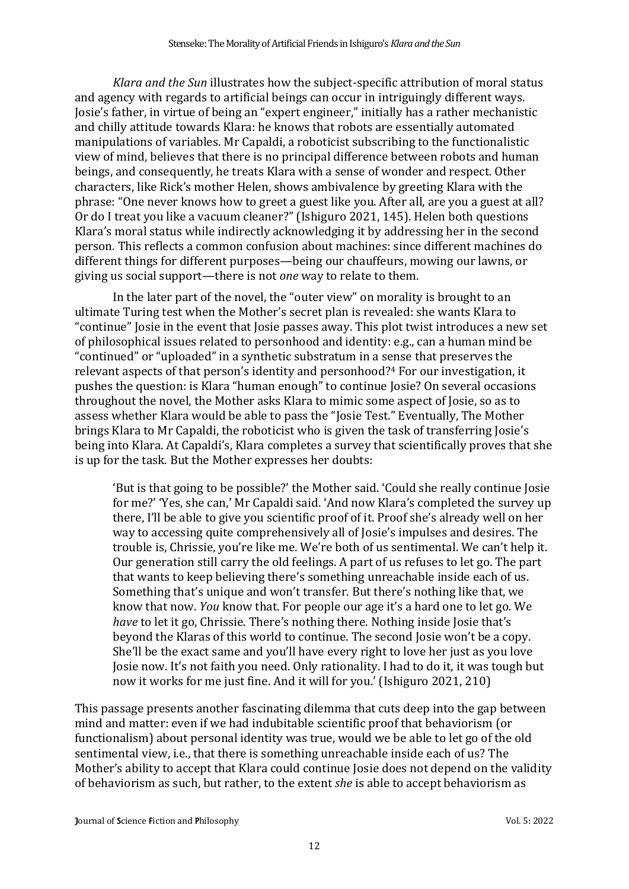*Klara and the Sun* illustrates how the subject-specific attribution of moral status and agency with regards to artificial beings can occur in intriguingly different ways. Josie's father, in virtue of being an "expert engineer," initially has a rather mechanistic and chilly attitude towards Klara: he knows that robots are essentially automated manipulations of variables. Mr Capaldi, a roboticist subscribing to the functionalistic view of mind, believes that there is no principal difference between robots and human beings, and consequently, he treats Klara with a sense of wonder and respect. Other characters, like Rick's mother Helen, shows ambivalence by greeting Klara with the phrase: "One never knows how to greet a guest like you. After all, are you a guest at all? Or do I treat you like a vacuum cleaner?" (Ishiguro 2021, 145). Helen both questions Klara's moral status while indirectly acknowledging it by addressing her in the second person. This reflects a common confusion about machines: since different machines do different things for different purposes—being our chauffeurs, mowing our lawns, or giving us social support—there is not *one* way to relate to them.

In the later part of the novel, the "outer view" on morality is brought to an ultimate Turing test when the Mother's secret plan is revealed: she wants Klara to "continue" Josie in the event that Josie passes away. This plot twist introduces a new set of philosophical issues related to personhood and identity: e.g., can a human mind be "continued" or "uploaded" in a synthetic substratum in a sense that preserves the relevant aspects of that person's identity and personhood? <sup>4</sup> For our investigation, it pushes the question: is Klara "human enough" to continue Josie? On several occasions throughout the novel, the Mother asks Klara to mimic some aspect of Josie, so as to assess whether Klara would be able to pass the "Josie Test." Eventually, The Mother brings Klara to Mr Capaldi, the roboticist who is given the task of transferring Josie's being into Klara. At Capaldi's, Klara completes a survey that scientifically proves that she is up for the task. But the Mother expresses her doubts:

'But is that going to be possible?' the Mother said. 'Could she really continue Josie for me?' 'Yes, she can,' Mr Capaldi said. 'And now Klara's completed the survey up there, I'll be able to give you scientific proof of it. Proof she's already well on her way to accessing quite comprehensively all of Josie's impulses and desires. The trouble is, Chrissie, you're like me. We're both of us sentimental. We can't help it. Our generation still carry the old feelings. A part of us refuses to let go. The part that wants to keep believing there's something unreachable inside each of us. Something that's unique and won't transfer. But there's nothing like that, we know that now. *You* know that. For people our age it's a hard one to let go. We *have* to let it go, Chrissie. There's nothing there. Nothing inside Josie that's beyond the Klaras of this world to continue. The second Josie won't be a copy. She'll be the exact same and you'll have every right to love her just as you love Josie now. It's not faith you need. Only rationality. I had to do it, it was tough but now it works for me just fine. And it will for you.' (Ishiguro 2021, 210)

This passage presents another fascinating dilemma that cuts deep into the gap between mind and matter: even if we had indubitable scientific proof that behaviorism (or functionalism) about personal identity was true, would we be able to let go of the old sentimental view, i.e., that there is something unreachable inside each of us? The Mother's ability to accept that Klara could continue Josie does not depend on the validity of behaviorism as such, but rather, to the extent *she* is able to accept behaviorism as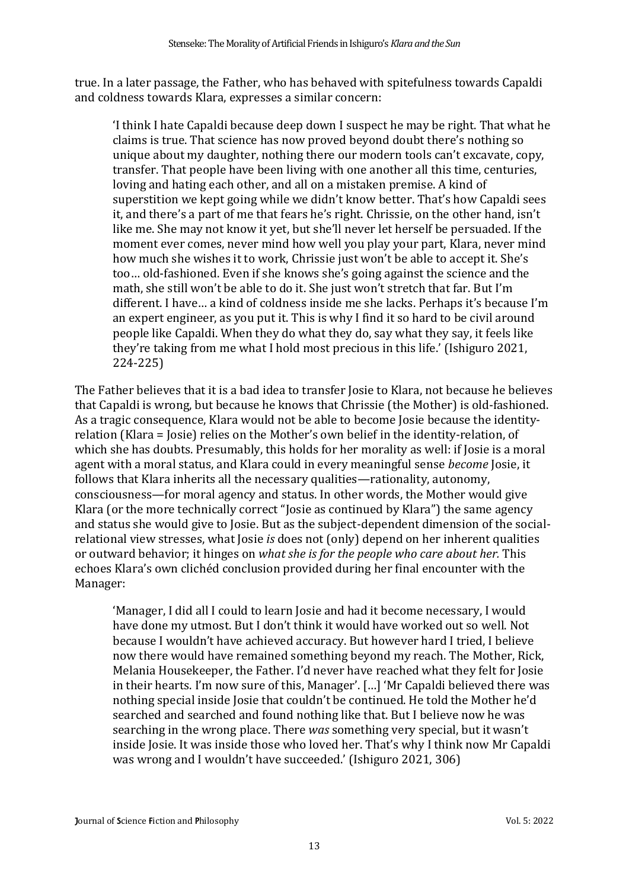true. In a later passage, the Father, who has behaved with spitefulness towards Capaldi and coldness towards Klara, expresses a similar concern:

'I think I hate Capaldi because deep down I suspect he may be right. That what he claims is true. That science has now proved beyond doubt there's nothing so unique about my daughter, nothing there our modern tools can't excavate, copy, transfer. That people have been living with one another all this time, centuries, loving and hating each other, and all on a mistaken premise. A kind of superstition we kept going while we didn't know better. That's how Capaldi sees it, and there's a part of me that fears he's right. Chrissie, on the other hand, isn't like me. She may not know it yet, but she'll never let herself be persuaded. If the moment ever comes, never mind how well you play your part, Klara, never mind how much she wishes it to work, Chrissie just won't be able to accept it. She's too… old-fashioned. Even if she knows she's going against the science and the math, she still won't be able to do it. She just won't stretch that far. But I'm different. I have… a kind of coldness inside me she lacks. Perhaps it's because I'm an expert engineer, as you put it. This is why I find it so hard to be civil around people like Capaldi. When they do what they do, say what they say, it feels like they're taking from me what I hold most precious in this life.' (Ishiguro 2021, 224-225)

The Father believes that it is a bad idea to transfer Josie to Klara, not because he believes that Capaldi is wrong, but because he knows that Chrissie (the Mother) is old-fashioned. As a tragic consequence, Klara would not be able to become Josie because the identityrelation (Klara = Josie) relies on the Mother's own belief in the identity-relation, of which she has doubts. Presumably, this holds for her morality as well: if Josie is a moral agent with a moral status, and Klara could in every meaningful sense *become* Josie, it follows that Klara inherits all the necessary qualities—rationality, autonomy, consciousness—for moral agency and status. In other words, the Mother would give Klara (or the more technically correct "Josie as continued by Klara") the same agency and status she would give to Josie. But as the subject-dependent dimension of the socialrelational view stresses, what Josie *is* does not (only) depend on her inherent qualities or outward behavior; it hinges on *what she is for the people who care about her.* This echoes Klara's own clichéd conclusion provided during her final encounter with the Manager:

'Manager, I did all I could to learn Josie and had it become necessary, I would have done my utmost. But I don't think it would have worked out so well. Not because I wouldn't have achieved accuracy. But however hard I tried, I believe now there would have remained something beyond my reach. The Mother, Rick, Melania Housekeeper, the Father. I'd never have reached what they felt for Josie in their hearts. I'm now sure of this, Manager'. […] 'Mr Capaldi believed there was nothing special inside Josie that couldn't be continued. He told the Mother he'd searched and searched and found nothing like that. But I believe now he was searching in the wrong place. There *was* something very special, but it wasn't inside Josie. It was inside those who loved her. That's why I think now Mr Capaldi was wrong and I wouldn't have succeeded.' (Ishiguro 2021, 306)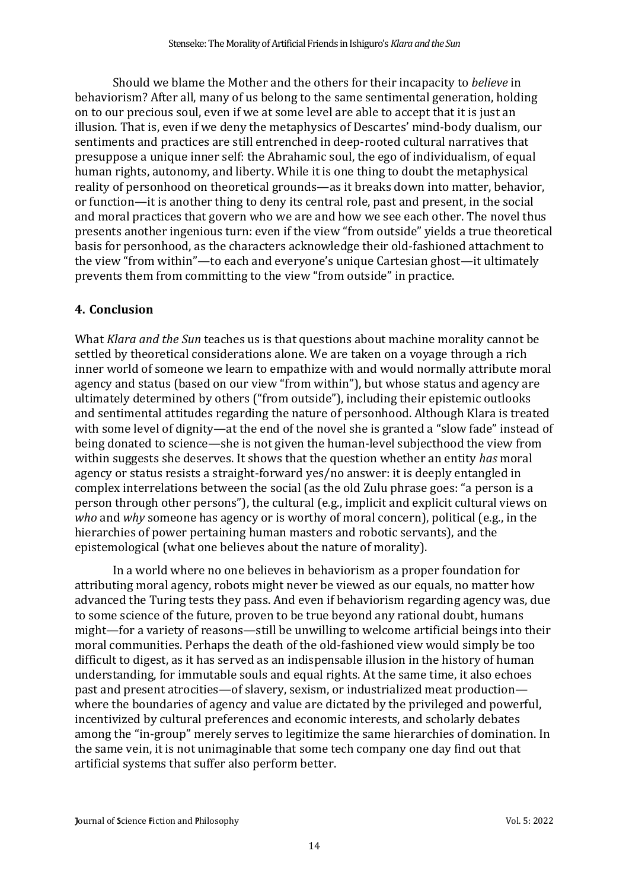Should we blame the Mother and the others for their incapacity to *believe* in behaviorism? After all, many of us belong to the same sentimental generation, holding on to our precious soul, even if we at some level are able to accept that it is just an illusion. That is, even if we deny the metaphysics of Descartes' mind-body dualism, our sentiments and practices are still entrenched in deep-rooted cultural narratives that presuppose a unique inner self: the Abrahamic soul, the ego of individualism, of equal human rights, autonomy, and liberty. While it is one thing to doubt the metaphysical reality of personhood on theoretical grounds—as it breaks down into matter, behavior, or function—it is another thing to deny its central role, past and present, in the social and moral practices that govern who we are and how we see each other. The novel thus presents another ingenious turn: even if the view "from outside" yields a true theoretical basis for personhood, as the characters acknowledge their old-fashioned attachment to the view "from within"—to each and everyone's unique Cartesian ghost—it ultimately prevents them from committing to the view "from outside" in practice.

## **4. Conclusion**

What *Klara and the Sun* teaches us is that questions about machine morality cannot be settled by theoretical considerations alone. We are taken on a voyage through a rich inner world of someone we learn to empathize with and would normally attribute moral agency and status (based on our view "from within"), but whose status and agency are ultimately determined by others ("from outside"), including their epistemic outlooks and sentimental attitudes regarding the nature of personhood. Although Klara is treated with some level of dignity—at the end of the novel she is granted a "slow fade" instead of being donated to science—she is not given the human-level subjecthood the view from within suggests she deserves. It shows that the question whether an entity *has* moral agency or status resists a straight-forward yes/no answer: it is deeply entangled in complex interrelations between the social (as the old Zulu phrase goes: "a person is a person through other persons"), the cultural (e.g., implicit and explicit cultural views on *who* and *why* someone has agency or is worthy of moral concern), political (e.g., in the hierarchies of power pertaining human masters and robotic servants), and the epistemological (what one believes about the nature of morality).

In a world where no one believes in behaviorism as a proper foundation for attributing moral agency, robots might never be viewed as our equals, no matter how advanced the Turing tests they pass. And even if behaviorism regarding agency was, due to some science of the future, proven to be true beyond any rational doubt, humans might—for a variety of reasons—still be unwilling to welcome artificial beings into their moral communities. Perhaps the death of the old-fashioned view would simply be too difficult to digest, as it has served as an indispensable illusion in the history of human understanding, for immutable souls and equal rights. At the same time, it also echoes past and present atrocities—of slavery, sexism, or industrialized meat production where the boundaries of agency and value are dictated by the privileged and powerful, incentivized by cultural preferences and economic interests, and scholarly debates among the "in-group" merely serves to legitimize the same hierarchies of domination. In the same vein, it is not unimaginable that some tech company one day find out that artificial systems that suffer also perform better.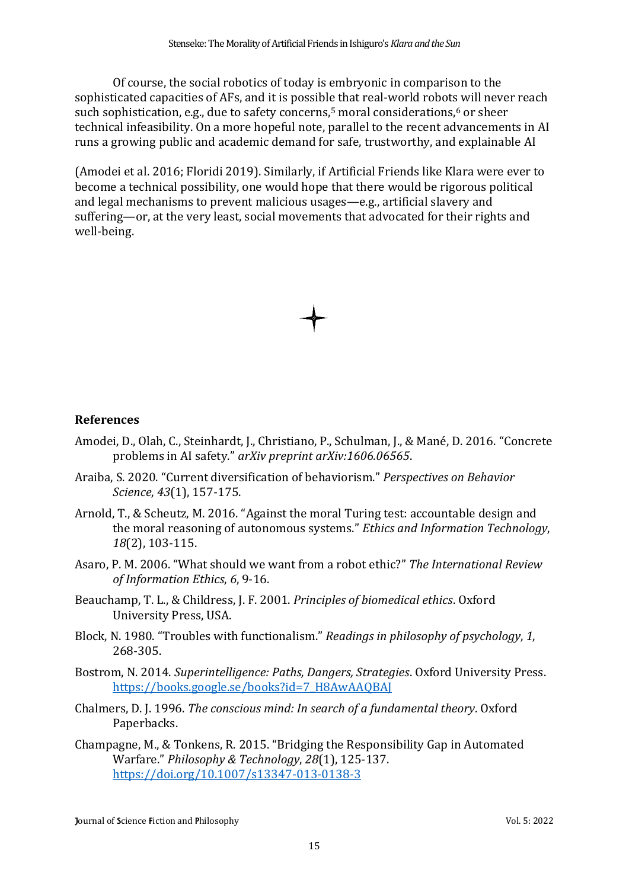Of course, the social robotics of today is embryonic in comparison to the sophisticated capacities of AFs, and it is possible that real-world robots will never reach such sophistication, e.g., due to safety concerns, <sup>5</sup> moral considerations, <sup>6</sup> or sheer technical infeasibility. On a more hopeful note, parallel to the recent advancements in AI runs a growing public and academic demand for safe, trustworthy, and explainable AI

(Amodei et al. 2016; Floridi 2019). Similarly, if Artificial Friends like Klara were ever to become a technical possibility, one would hope that there would be rigorous political and legal mechanisms to prevent malicious usages—e.g., artificial slavery and suffering—or, at the very least, social movements that advocated for their rights and well-being.

### **References**

- Amodei, D., Olah, C., Steinhardt, J., Christiano, P., Schulman, J., & Mané, D. 2016. "Concrete problems in AI safety." *arXiv preprint arXiv:1606.06565*.
- Araiba, S. 2020. "Current diversification of behaviorism." *Perspectives on Behavior Science*, *43*(1), 157-175.
- Arnold, T., & Scheutz, M. 2016. "Against the moral Turing test: accountable design and the moral reasoning of autonomous systems." *Ethics and Information Technology*, *18*(2), 103-115.
- Asaro, P. M. 2006. "What should we want from a robot ethic?" *The International Review of Information Ethics*, *6*, 9-16.
- Beauchamp, T. L., & Childress, J. F. 2001. *Principles of biomedical ethics*. Oxford University Press, USA.
- Block, N. 1980. "Troubles with functionalism." *Readings in philosophy of psychology*, *1*, 268-305.
- Bostrom, N. 2014. *Superintelligence: Paths, Dangers, Strategies*. Oxford University Press. [https://books.google.se/books?id=7\\_H8AwAAQBAJ](https://books.google.se/books?id=7_H8AwAAQBAJ)
- Chalmers, D. J. 1996. *The conscious mind: In search of a fundamental theory*. Oxford Paperbacks.
- Champagne, M., & Tonkens, R. 2015. "Bridging the Responsibility Gap in Automated Warfare." *Philosophy & Technology*, *28*(1), 125-137. <https://doi.org/10.1007/s13347-013-0138-3>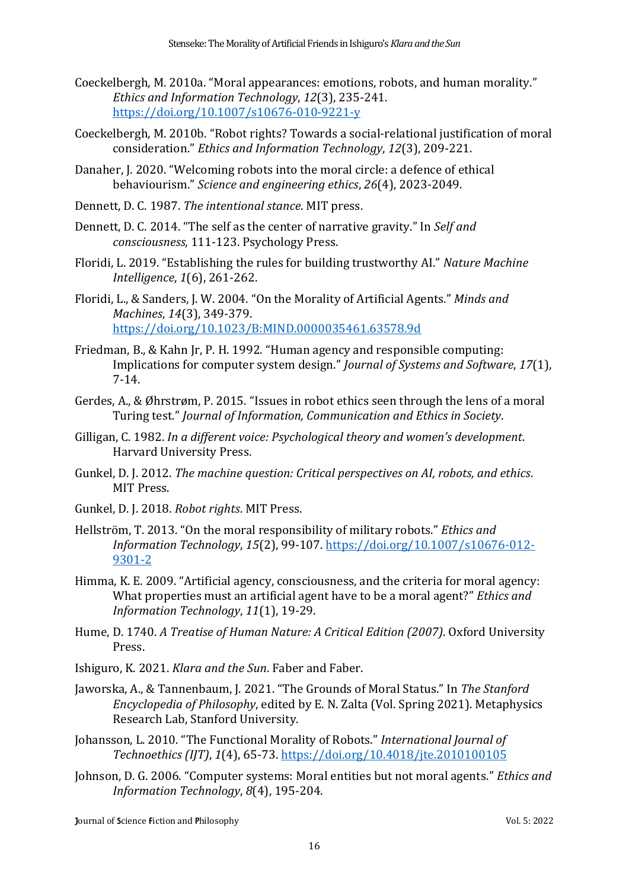- Coeckelbergh, M. 2010a. "Moral appearances: emotions, robots, and human morality." *Ethics and Information Technology*, *12*(3), 235-241. <https://doi.org/10.1007/s10676-010-9221-y>
- Coeckelbergh, M. 2010b. "Robot rights? Towards a social-relational justification of moral consideration." *Ethics and Information Technology*, *12*(3), 209-221.
- Danaher, J. 2020. "Welcoming robots into the moral circle: a defence of ethical behaviourism." *Science and engineering ethics*, *26*(4), 2023-2049.
- Dennett, D. C. 1987. *The intentional stance*. MIT press.
- Dennett, D. C. 2014. "The self as the center of narrative gravity." In *Self and consciousness,* 111-123. Psychology Press.
- Floridi, L. 2019. "Establishing the rules for building trustworthy AI." *Nature Machine Intelligence*, *1*(6), 261-262.
- Floridi, L., & Sanders, J. W. 2004. "On the Morality of Artificial Agents." *Minds and Machines*, *14*(3), 349-379. <https://doi.org/10.1023/B:MIND.0000035461.63578.9d>
- Friedman, B., & Kahn Jr, P. H. 1992. "Human agency and responsible computing: Implications for computer system design." *Journal of Systems and Software*, *17*(1), 7-14.
- Gerdes, A., & Øhrstrøm, P. 2015. "Issues in robot ethics seen through the lens of a moral Turing test." *Journal of Information, Communication and Ethics in Society*.
- Gilligan, C. 1982. *In a different voice: Psychological theory and women's development*. Harvard University Press.
- Gunkel, D. J. 2012. *The machine question: Critical perspectives on AI, robots, and ethics*. MIT Press.
- Gunkel, D. J. 2018. *Robot rights*. MIT Press.
- Hellström, T. 2013. "On the moral responsibility of military robots." *Ethics and Information Technology*, *15*(2), 99-107. [https://doi.org/10.1007/s10676-012-](https://doi.org/10.1007/s10676-012-9301-2) [9301-2](https://doi.org/10.1007/s10676-012-9301-2)
- Himma, K. E. 2009. "Artificial agency, consciousness, and the criteria for moral agency: What properties must an artificial agent have to be a moral agent?" *Ethics and Information Technology*, *11*(1), 19-29.
- Hume, D. 1740. *A Treatise of Human Nature: A Critical Edition (2007)*. Oxford University Press.
- Ishiguro, K. 2021. *Klara and the Sun*. Faber and Faber.
- Jaworska, A., & Tannenbaum, J. 2021. "The Grounds of Moral Status." In *The Stanford Encyclopedia of Philosophy*, edited by E. N. Zalta (Vol. Spring 2021). Metaphysics Research Lab, Stanford University.
- Johansson, L. 2010. "The Functional Morality of Robots." *International Journal of Technoethics (IJT)*, *1*(4), 65-73.<https://doi.org/10.4018/jte.2010100105>
- Johnson, D. G. 2006. "Computer systems: Moral entities but not moral agents." *Ethics and Information Technology*, *8*(4), 195-204.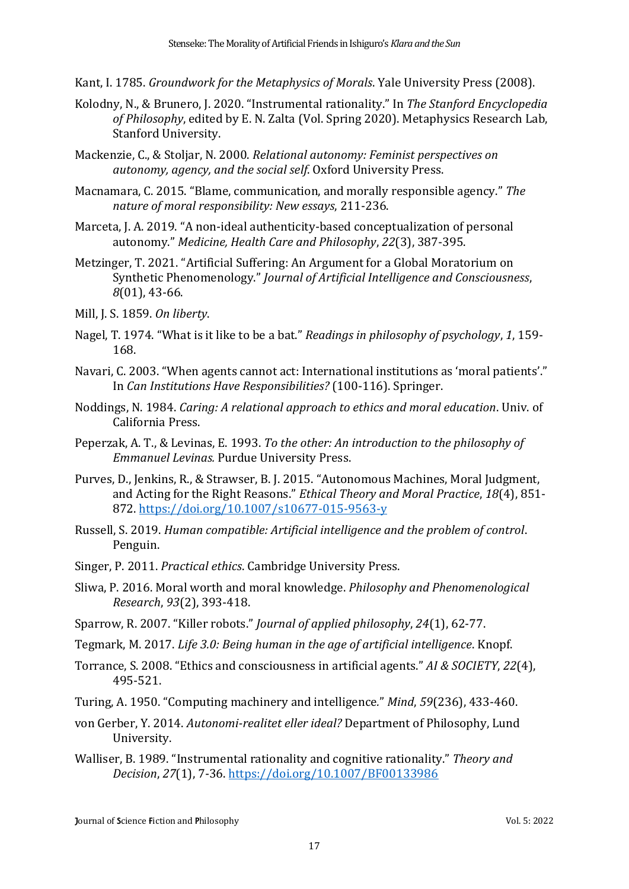Kant, I. 1785. *Groundwork for the Metaphysics of Morals*. Yale University Press (2008).

- Kolodny, N., & Brunero, J. 2020. "Instrumental rationality." In *The Stanford Encyclopedia of Philosophy*, edited by E. N. Zalta (Vol. Spring 2020). Metaphysics Research Lab, Stanford University.
- Mackenzie, C., & Stoljar, N. 2000. *Relational autonomy: Feminist perspectives on autonomy, agency, and the social self*. Oxford University Press.
- Macnamara, C. 2015. "Blame, communication, and morally responsible agency." *The nature of moral responsibility: New essays*, 211-236.
- Marceta, J. A. 2019. "A non-ideal authenticity-based conceptualization of personal autonomy." *Medicine, Health Care and Philosophy*, *22*(3), 387-395.
- Metzinger, T. 2021. "Artificial Suffering: An Argument for a Global Moratorium on Synthetic Phenomenology." *Journal of Artificial Intelligence and Consciousness*, *8*(01), 43-66.
- Mill, J. S. 1859. *On liberty*.
- Nagel, T. 1974. "What is it like to be a bat." *Readings in philosophy of psychology*, *1*, 159- 168.
- Navari, C. 2003. "When agents cannot act: International institutions as 'moral patients'." In *Can Institutions Have Responsibilities?* (100-116). Springer.
- Noddings, N. 1984. *Caring: A relational approach to ethics and moral education*. Univ. of California Press.
- Peperzak, A. T., & Levinas, E. 1993. *To the other: An introduction to the philosophy of Emmanuel Levinas.* Purdue University Press.
- Purves, D., Jenkins, R., & Strawser, B. J. 2015. "Autonomous Machines, Moral Judgment, and Acting for the Right Reasons." *Ethical Theory and Moral Practice*, *18*(4), 851- 872.<https://doi.org/10.1007/s10677-015-9563-y>
- Russell, S. 2019. *Human compatible: Artificial intelligence and the problem of control*. Penguin.
- Singer, P. 2011. *Practical ethics*. Cambridge University Press.
- Sliwa, P. 2016. Moral worth and moral knowledge. *Philosophy and Phenomenological Research*, *93*(2), 393-418.
- Sparrow, R. 2007. "Killer robots." *Journal of applied philosophy*, *24*(1), 62-77.
- Tegmark, M. 2017. *Life 3.0: Being human in the age of artificial intelligence*. Knopf.
- Torrance, S. 2008. "Ethics and consciousness in artificial agents." *AI & SOCIETY*, *22*(4), 495-521.
- Turing, A. 1950. "Computing machinery and intelligence*.*" *Mind*, *59*(236), 433-460.
- von Gerber, Y. 2014. *Autonomi-realitet eller ideal?* Department of Philosophy, Lund University.
- Walliser, B. 1989. "Instrumental rationality and cognitive rationality." *Theory and Decision*, *27*(1), 7-36.<https://doi.org/10.1007/BF00133986>